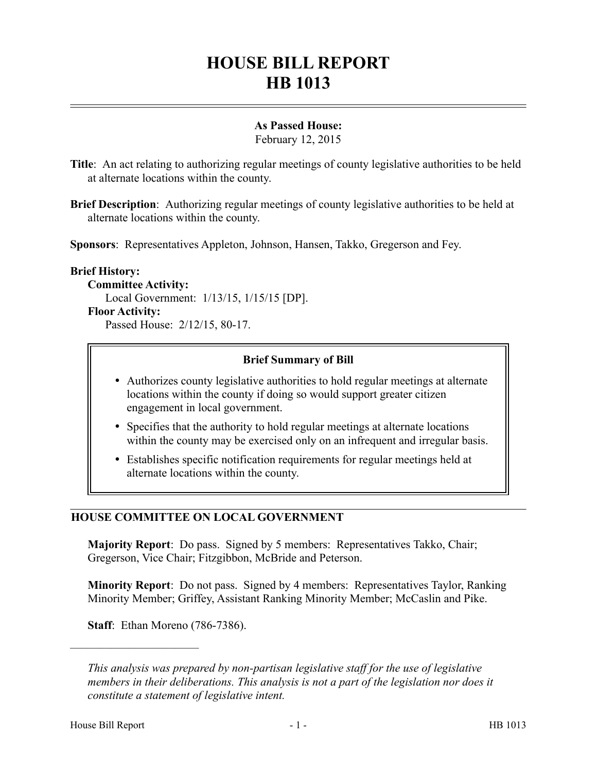# **HOUSE BILL REPORT HB 1013**

## **As Passed House:**

February 12, 2015

- **Title**: An act relating to authorizing regular meetings of county legislative authorities to be held at alternate locations within the county.
- **Brief Description**: Authorizing regular meetings of county legislative authorities to be held at alternate locations within the county.

**Sponsors**: Representatives Appleton, Johnson, Hansen, Takko, Gregerson and Fey.

#### **Brief History:**

**Committee Activity:**

Local Government: 1/13/15, 1/15/15 [DP].

#### **Floor Activity:**

Passed House: 2/12/15, 80-17.

### **Brief Summary of Bill**

- Authorizes county legislative authorities to hold regular meetings at alternate locations within the county if doing so would support greater citizen engagement in local government.
- Specifies that the authority to hold regular meetings at alternate locations within the county may be exercised only on an infrequent and irregular basis.
- Establishes specific notification requirements for regular meetings held at alternate locations within the county.

### **HOUSE COMMITTEE ON LOCAL GOVERNMENT**

**Majority Report**: Do pass. Signed by 5 members: Representatives Takko, Chair; Gregerson, Vice Chair; Fitzgibbon, McBride and Peterson.

**Minority Report**: Do not pass. Signed by 4 members: Representatives Taylor, Ranking Minority Member; Griffey, Assistant Ranking Minority Member; McCaslin and Pike.

**Staff**: Ethan Moreno (786-7386).

––––––––––––––––––––––

*This analysis was prepared by non-partisan legislative staff for the use of legislative members in their deliberations. This analysis is not a part of the legislation nor does it constitute a statement of legislative intent.*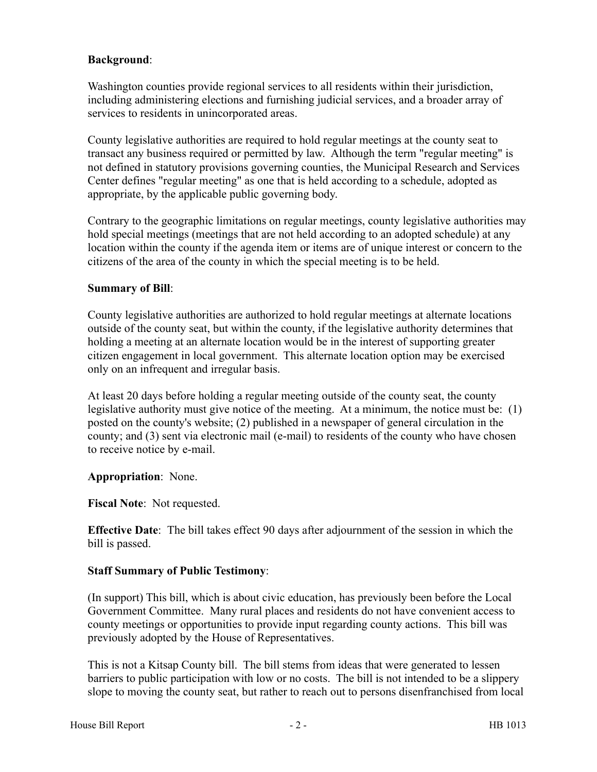### **Background**:

Washington counties provide regional services to all residents within their jurisdiction, including administering elections and furnishing judicial services, and a broader array of services to residents in unincorporated areas.

County legislative authorities are required to hold regular meetings at the county seat to transact any business required or permitted by law. Although the term "regular meeting" is not defined in statutory provisions governing counties, the Municipal Research and Services Center defines "regular meeting" as one that is held according to a schedule, adopted as appropriate, by the applicable public governing body.

Contrary to the geographic limitations on regular meetings, county legislative authorities may hold special meetings (meetings that are not held according to an adopted schedule) at any location within the county if the agenda item or items are of unique interest or concern to the citizens of the area of the county in which the special meeting is to be held.

### **Summary of Bill**:

County legislative authorities are authorized to hold regular meetings at alternate locations outside of the county seat, but within the county, if the legislative authority determines that holding a meeting at an alternate location would be in the interest of supporting greater citizen engagement in local government. This alternate location option may be exercised only on an infrequent and irregular basis.

At least 20 days before holding a regular meeting outside of the county seat, the county legislative authority must give notice of the meeting. At a minimum, the notice must be: (1) posted on the county's website; (2) published in a newspaper of general circulation in the county; and (3) sent via electronic mail (e-mail) to residents of the county who have chosen to receive notice by e-mail.

### **Appropriation**: None.

### **Fiscal Note**: Not requested.

**Effective Date**: The bill takes effect 90 days after adjournment of the session in which the bill is passed.

### **Staff Summary of Public Testimony**:

(In support) This bill, which is about civic education, has previously been before the Local Government Committee. Many rural places and residents do not have convenient access to county meetings or opportunities to provide input regarding county actions. This bill was previously adopted by the House of Representatives.

This is not a Kitsap County bill. The bill stems from ideas that were generated to lessen barriers to public participation with low or no costs. The bill is not intended to be a slippery slope to moving the county seat, but rather to reach out to persons disenfranchised from local